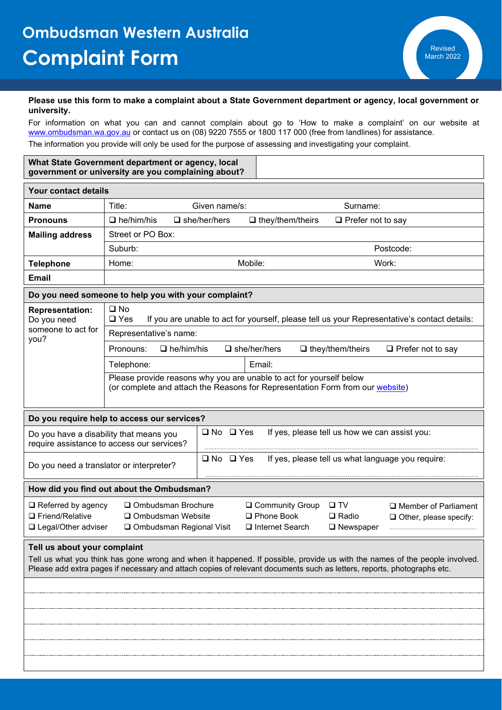## **Please use this form to make a complaint about a State Government department or agency, local government or university.**

For information on what you can and cannot complain about go to 'How to make a complaint' on our website at [www.ombudsman.wa.gov.au](http://www.ombudsman.wa.gov.au/) or contact us on (08) 9220 7555 or 1800 117 000 (free from landlines) for assistance. The information you provide will only be used for the purpose of assessing and investigating your complaint.

| What State Government department or agency, local   |
|-----------------------------------------------------|
| government or university are you complaining about? |

| Your contact details                                                                                                                                                                                                                                                                                                                     |                                                                                                                                                      |                      |                                                |                          |  |  |  |  |  |
|------------------------------------------------------------------------------------------------------------------------------------------------------------------------------------------------------------------------------------------------------------------------------------------------------------------------------------------|------------------------------------------------------------------------------------------------------------------------------------------------------|----------------------|------------------------------------------------|--------------------------|--|--|--|--|--|
| Name                                                                                                                                                                                                                                                                                                                                     | Title:                                                                                                                                               | Given name/s:        | Surname:                                       |                          |  |  |  |  |  |
| <b>Pronouns</b>                                                                                                                                                                                                                                                                                                                          | $\Box$ he/him/his                                                                                                                                    | $\Box$ she/her/hers  | □ Prefer not to say<br>$\Box$ they/them/theirs |                          |  |  |  |  |  |
| <b>Mailing address</b>                                                                                                                                                                                                                                                                                                                   | Street or PO Box:                                                                                                                                    |                      |                                                |                          |  |  |  |  |  |
|                                                                                                                                                                                                                                                                                                                                          | Suburb:                                                                                                                                              |                      |                                                | Postcode:                |  |  |  |  |  |
| <b>Telephone</b>                                                                                                                                                                                                                                                                                                                         | Home:                                                                                                                                                | Mobile:              |                                                | Work:                    |  |  |  |  |  |
| <b>Email</b>                                                                                                                                                                                                                                                                                                                             |                                                                                                                                                      |                      |                                                |                          |  |  |  |  |  |
| Do you need someone to help you with your complaint?                                                                                                                                                                                                                                                                                     |                                                                                                                                                      |                      |                                                |                          |  |  |  |  |  |
| <b>Representation:</b><br>Do you need                                                                                                                                                                                                                                                                                                    | $\square$ No<br>$\square$ Yes<br>If you are unable to act for yourself, please tell us your Representative's contact details:                        |                      |                                                |                          |  |  |  |  |  |
| someone to act for<br>you?                                                                                                                                                                                                                                                                                                               | Representative's name:                                                                                                                               |                      |                                                |                          |  |  |  |  |  |
|                                                                                                                                                                                                                                                                                                                                          | Pronouns:<br>$\Box$ he/him/his<br>$\Box$ she/her/hers<br>$\Box$ they/them/theirs                                                                     |                      |                                                | $\Box$ Prefer not to say |  |  |  |  |  |
|                                                                                                                                                                                                                                                                                                                                          | Telephone:                                                                                                                                           | Email:               |                                                |                          |  |  |  |  |  |
|                                                                                                                                                                                                                                                                                                                                          | Please provide reasons why you are unable to act for yourself below<br>(or complete and attach the Reasons for Representation Form from our website) |                      |                                                |                          |  |  |  |  |  |
|                                                                                                                                                                                                                                                                                                                                          | Do you require help to access our services?                                                                                                          |                      |                                                |                          |  |  |  |  |  |
|                                                                                                                                                                                                                                                                                                                                          | Do you have a disability that means you<br>require assistance to access our services?                                                                | $\Box$ No $\Box$ Yes | If yes, please tell us how we can assist you:  |                          |  |  |  |  |  |
| $\Box$ No $\Box$ Yes<br>If yes, please tell us what language you require:<br>Do you need a translator or interpreter?                                                                                                                                                                                                                    |                                                                                                                                                      |                      |                                                |                          |  |  |  |  |  |
|                                                                                                                                                                                                                                                                                                                                          | How did you find out about the Ombudsman?                                                                                                            |                      |                                                |                          |  |  |  |  |  |
| $\Box$ Referred by agency<br>Ombudsman Brochure<br>□ Community Group<br>$\square$ TV<br>$\Box$ Member of Parliament<br>□ Phone Book<br>□ Friend/Relative<br>□ Ombudsman Website<br>$\Box$ Radio<br>$\Box$ Other, please specify:<br>□ Legal/Other adviser<br>□ Ombudsman Regional Visit<br>$\Box$ Internet Search<br>$\square$ Newspaper |                                                                                                                                                      |                      |                                                |                          |  |  |  |  |  |
| Tell us about your complaint<br>Tell us what you think has gone wrong and when it happened. If possible, provide us with the names of the people involved.<br>Please add extra pages if necessary and attach copies of relevant documents such as letters, reports, photographs etc.                                                     |                                                                                                                                                      |                      |                                                |                          |  |  |  |  |  |
|                                                                                                                                                                                                                                                                                                                                          |                                                                                                                                                      |                      |                                                |                          |  |  |  |  |  |
|                                                                                                                                                                                                                                                                                                                                          |                                                                                                                                                      |                      |                                                |                          |  |  |  |  |  |
|                                                                                                                                                                                                                                                                                                                                          |                                                                                                                                                      |                      |                                                |                          |  |  |  |  |  |
|                                                                                                                                                                                                                                                                                                                                          |                                                                                                                                                      |                      |                                                |                          |  |  |  |  |  |
|                                                                                                                                                                                                                                                                                                                                          |                                                                                                                                                      |                      |                                                |                          |  |  |  |  |  |
|                                                                                                                                                                                                                                                                                                                                          |                                                                                                                                                      |                      |                                                |                          |  |  |  |  |  |